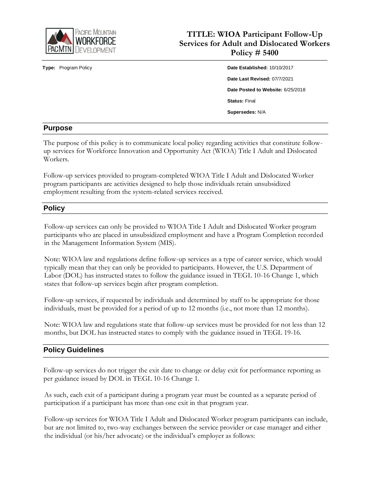

**TITLE: WIOA Participant Follow-Up Services for Adult and Dislocated Workers Policy # 5400**

# **Type:** Program Policy **Date Established:** 10/10/2017 **Date Last Revised:** 07/7/2021 **Date Posted to Website:** 6/25/2018 **Status:** Final **Supersedes:** N/A

#### **Purpose**

The purpose of this policy is to communicate local policy regarding activities that constitute followup services for Workforce Innovation and Opportunity Act (WIOA) Title I Adult and Dislocated Workers.

Follow-up services provided to program-completed WIOA Title I Adult and Dislocated Worker program participants are activities designed to help those individuals retain unsubsidized employment resulting from the system-related services received.

### **Policy**

Follow-up services can only be provided to WIOA Title I Adult and Dislocated Worker program participants who are placed in unsubsidized employment and have a Program Completion recorded in the Management Information System (MIS).

Note: WIOA law and regulations define follow-up services as a type of career service, which would typically mean that they can only be provided to participants. However, the U.S. Department of Labor (DOL) has instructed states to follow the guidance issued in TEGL 10-16 Change 1, which states that follow-up services begin after program completion.

Follow-up services, if requested by individuals and determined by staff to be appropriate for those individuals, must be provided for a period of up to 12 months (i.e., not more than 12 months).

Note: WIOA law and regulations state that follow-up services must be provided for not less than 12 months, but DOL has instructed states to comply with the guidance issued in TEGL 19-16.

### **Policy Guidelines**

Follow-up services do not trigger the exit date to change or delay exit for performance reporting as per guidance issued by DOL in TEGL 10-16 Change 1.

As such, each exit of a participant during a program year must be counted as a separate period of participation if a participant has more than one exit in that program year.

Follow-up services for WIOA Title I Adult and Dislocated Worker program participants can include, but are not limited to, two-way exchanges between the service provider or case manager and either the individual (or his/her advocate) or the individual's employer as follows: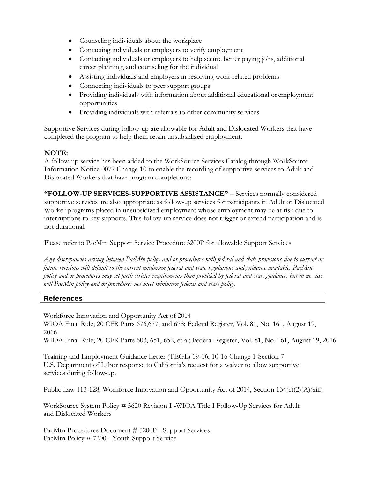- Counseling individuals about the workplace
- Contacting individuals or employers to verify employment
- Contacting individuals or employers to help secure better paying jobs, additional career planning, and counseling for the individual
- Assisting individuals and employers in resolving work-related problems
- Connecting individuals to peer support groups
- Providing individuals with information about additional educational or employment opportunities
- Providing individuals with referrals to other community services

Supportive Services during follow-up are allowable for Adult and Dislocated Workers that have completed the program to help them retain unsubsidized employment.

### **NOTE:**

A follow-up service has been added to the WorkSource Services Catalog through WorkSource Information Notice 0077 Change 10 to enable the recording of supportive services to Adult and Dislocated Workers that have program completions:

**"FOLLOW-UP SERVICES-SUPPORTIVE ASSISTANCE"** – Services normally considered supportive services are also appropriate as follow-up services for participants in Adult or Dislocated Worker programs placed in unsubsidized employment whose employment may be at risk due to interruptions to key supports. This follow-up service does not trigger or extend participation and is not durational.

Please refer to PacMtn Support Service Procedure 5200P for allowable Support Services.

*Any discrepancies arising between PacMtn policy and or procedures with federal and state provisions due to current or future revisions will default to the current minimum federal and state regulations and guidance available. PacMtn policy and or procedures may set forth stricter requirements than provided by federal and state guidance, but in no case will PacMtn policy and or procedures not meet minimum federal and state policy.*

### **References**

Workforce Innovation and Opportunity Act of 2014 WIOA Final Rule; 20 CFR Parts 676,677, and 678; Federal Register, Vol. 81, No. 161, August 19, 2016 WIOA Final Rule; 20 CFR Parts 603, 651, 652, et al; Federal Register, Vol. 81, No. 161, August 19, 2016

Training and Employment Guidance Letter (TEGL) 19-16, 10-16 Change 1-Section 7 U.S. Department of Labor response to California's request for a waiver to allow supportive services during follow-up.

Public Law 113-128, Workforce Innovation and Opportunity Act of 2014, Section 134(c)(2)(A)(xiii)

WorkSource System Policy # 5620 Revision I -WIOA Title I Follow-Up Services for Adult and Dislocated Workers

PacMtn Procedures Document # 5200P - Support Services PacMtn Policy # 7200 - Youth Support Service